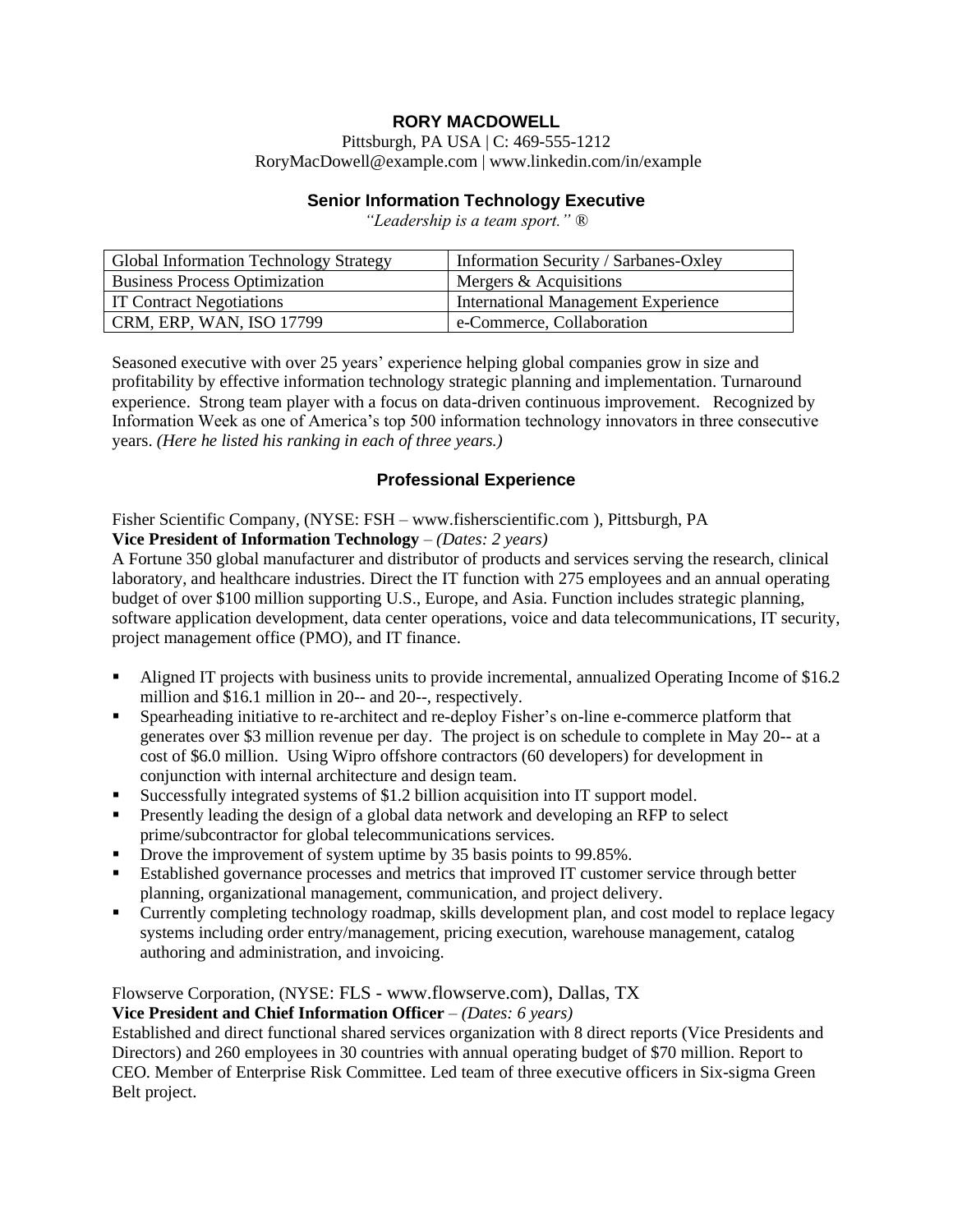# **RORY MACDOWELL**

Pittsburgh, PA USA | C: 469-555-1212 [RoryMacDowell@example.com](mailto:RoryMacDowell@example.com) | www.linkedin.com/in/example

#### **Senior Information Technology Executive**

*"Leadership is a team sport." ®*

| <b>Global Information Technology Strategy</b> | Information Security / Sarbanes-Oxley |
|-----------------------------------------------|---------------------------------------|
| <b>Business Process Optimization</b>          | Mergers & Acquisitions                |
| <b>IT Contract Negotiations</b>               | International Management Experience   |
| CRM, ERP, WAN, ISO 17799                      | e-Commerce, Collaboration             |

Seasoned executive with over 25 years' experience helping global companies grow in size and profitability by effective information technology strategic planning and implementation. Turnaround experience. Strong team player with a focus on data-driven continuous improvement. Recognized by Information Week as one of America's top 500 information technology innovators in three consecutive years. *(Here he listed his ranking in each of three years.)* 

### **Professional Experience**

Fisher Scientific Company, (NYSE: FSH – [www.fisherscientific.com](http://www.fisherscientific.com/) ), Pittsburgh, PA

# **Vice President of Information Technology** – *(Dates: 2 years)*

A Fortune 350 global manufacturer and distributor of products and services serving the research, clinical laboratory, and healthcare industries. Direct the IT function with 275 employees and an annual operating budget of over \$100 million supporting U.S., Europe, and Asia. Function includes strategic planning, software application development, data center operations, voice and data telecommunications, IT security, project management office (PMO), and IT finance.

- Aligned IT projects with business units to provide incremental, annualized Operating Income of \$16.2 million and \$16.1 million in 20-- and 20--, respectively.
- Spearheading initiative to re-architect and re-deploy Fisher's on-line e-commerce platform that generates over \$3 million revenue per day. The project is on schedule to complete in May 20-- at a cost of \$6.0 million. Using Wipro offshore contractors (60 developers) for development in conjunction with internal architecture and design team.
- Successfully integrated systems of \$1.2 billion acquisition into IT support model.
- Presently leading the design of a global data network and developing an RFP to select prime/subcontractor for global telecommunications services.
- Drove the improvement of system uptime by 35 basis points to 99.85%.
- **Established governance processes and metrics that improved IT customer service through better** planning, organizational management, communication, and project delivery.
- Currently completing technology roadmap, skills development plan, and cost model to replace legacy systems including order entry/management, pricing execution, warehouse management, catalog authoring and administration, and invoicing.

### Flowserve Corporation, (NYSE: FLS - [www.flowserve.com\)](http://www.flowserve.com/), Dallas, TX

### **Vice President and Chief Information Officer** – *(Dates: 6 years)*

Established and direct functional shared services organization with 8 direct reports (Vice Presidents and Directors) and 260 employees in 30 countries with annual operating budget of \$70 million. Report to CEO. Member of Enterprise Risk Committee. Led team of three executive officers in Six-sigma Green Belt project.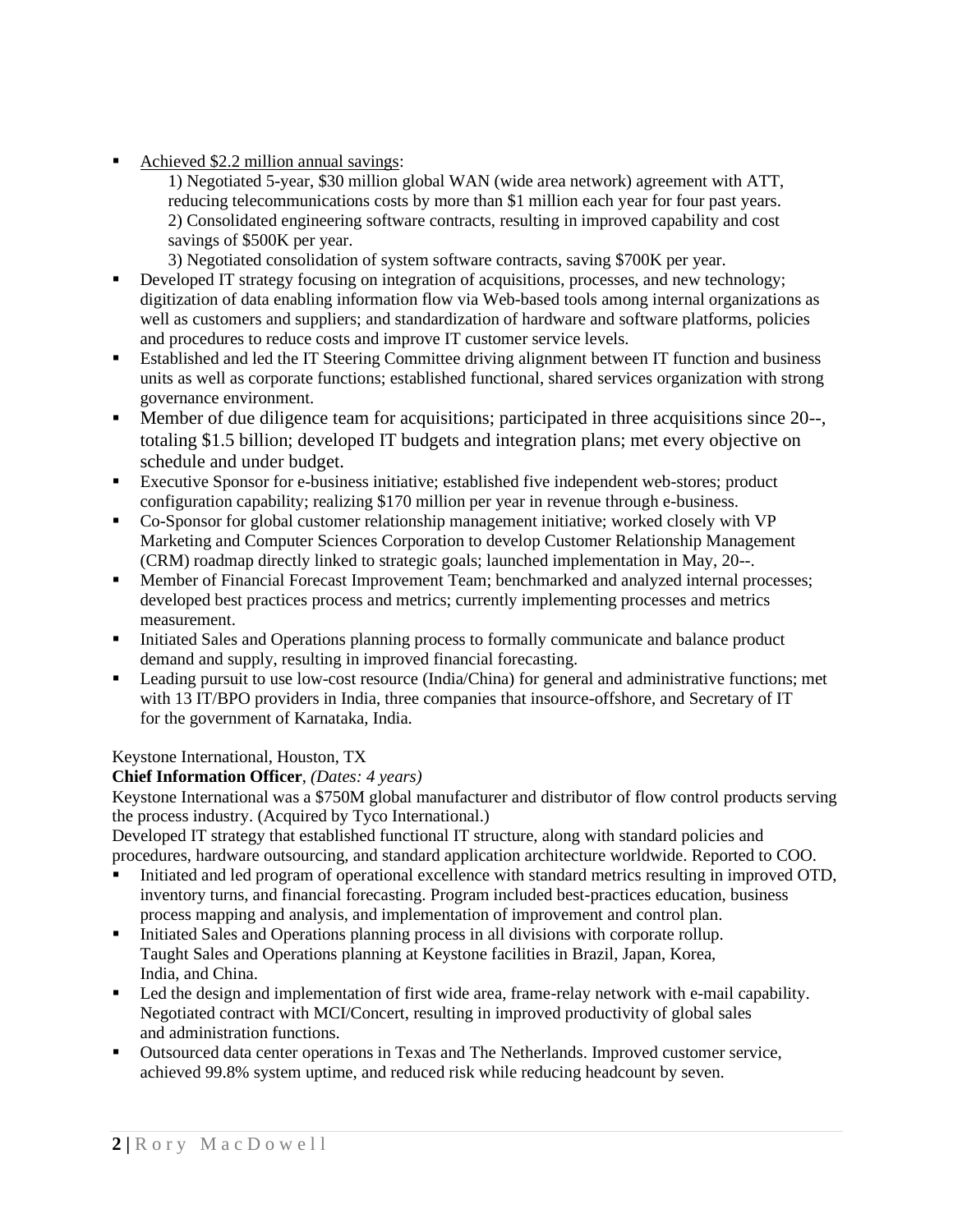Achieved \$2.2 million annual savings:

1) Negotiated 5-year, \$30 million global WAN (wide area network) agreement with ATT, reducing telecommunications costs by more than \$1 million each year for four past years. 2) Consolidated engineering software contracts, resulting in improved capability and cost savings of \$500K per year.

- 3) Negotiated consolidation of system software contracts, saving \$700K per year.
- **•** Developed IT strategy focusing on integration of acquisitions, processes, and new technology; digitization of data enabling information flow via Web-based tools among internal organizations as well as customers and suppliers; and standardization of hardware and software platforms, policies and procedures to reduce costs and improve IT customer service levels.
- Established and led the IT Steering Committee driving alignment between IT function and business units as well as corporate functions; established functional, shared services organization with strong governance environment.
- Member of due diligence team for acquisitions; participated in three acquisitions since 20--, totaling \$1.5 billion; developed IT budgets and integration plans; met every objective on schedule and under budget.
- Executive Sponsor for e-business initiative; established five independent web-stores; product configuration capability; realizing \$170 million per year in revenue through e-business.
- Co-Sponsor for global customer relationship management initiative; worked closely with VP Marketing and Computer Sciences Corporation to develop Customer Relationship Management (CRM) roadmap directly linked to strategic goals; launched implementation in May, 20--.
- Member of Financial Forecast Improvement Team; benchmarked and analyzed internal processes; developed best practices process and metrics; currently implementing processes and metrics measurement.
- Initiated Sales and Operations planning process to formally communicate and balance product demand and supply, resulting in improved financial forecasting.
- Leading pursuit to use low-cost resource (India/China) for general and administrative functions; met with 13 IT/BPO providers in India, three companies that insource-offshore, and Secretary of IT for the government of Karnataka, India.

# Keystone International, Houston, TX

# **Chief Information Officer**, *(Dates: 4 years)*

Keystone International was a \$750M global manufacturer and distributor of flow control products serving the process industry. (Acquired by Tyco International.)

Developed IT strategy that established functional IT structure, along with standard policies and procedures, hardware outsourcing, and standard application architecture worldwide. Reported to COO.

- Initiated and led program of operational excellence with standard metrics resulting in improved OTD, inventory turns, and financial forecasting. Program included best-practices education, business process mapping and analysis, and implementation of improvement and control plan.
- Initiated Sales and Operations planning process in all divisions with corporate rollup. Taught Sales and Operations planning at Keystone facilities in Brazil, Japan, Korea, India, and China.
- Led the design and implementation of first wide area, frame-relay network with e-mail capability. Negotiated contract with MCI/Concert, resulting in improved productivity of global sales and administration functions.
- Outsourced data center operations in Texas and The Netherlands. Improved customer service, achieved 99.8% system uptime, and reduced risk while reducing headcount by seven.